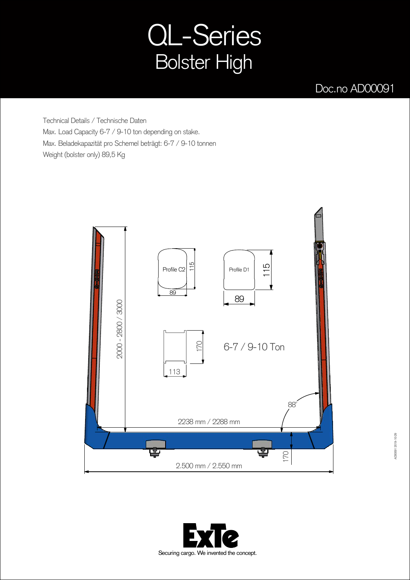## QL-Series Bolster High

## Doc.no AD00091

Technical Details / Technische Daten Max. Load Capacity 6-7 / 9-10 ton depending on stake. Max. Beladekapazität pro Schemel beträgt: 6-7 / 9-10 tonnen Weight (bolster only) 89,5 Kg